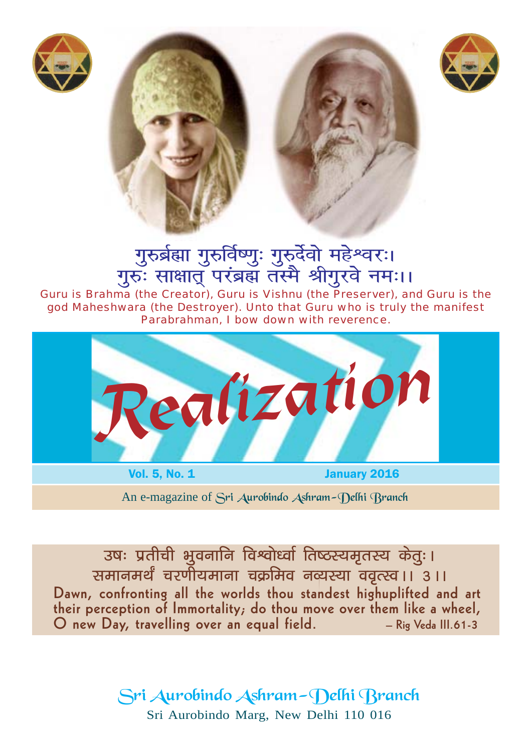





*Guru is Brahma (the Creator), Guru is Vishnu (the Preserver), and Guru is the god Maheshwara (the Destroyer). Unto that Guru who is truly the manifest Parabrahman, I bow down with reverence.*



An e-magazine of Sri Aurobindo Ashram-Delhi Branch

् उषः प्रतीची <mark>भुवनानि विश्वो</mark>र्ध्वा तिष्ठस्यमृतस्य केतुः।<br>समानमर्थं चरणीयमाना चक्रमिव नव्यस्या ववृत्स्व।। ३।। Dawn, confronting all the worlds thou standest highuplifted and art **their perception of Immortality; do thou move over them like a wheel, O new Day, travelling over an equal field. – Rig Veda III.61-3**

> Sri Aurobindo Ashram-Delhi Branch Sri Aurobindo Marg, New Delhi 110 016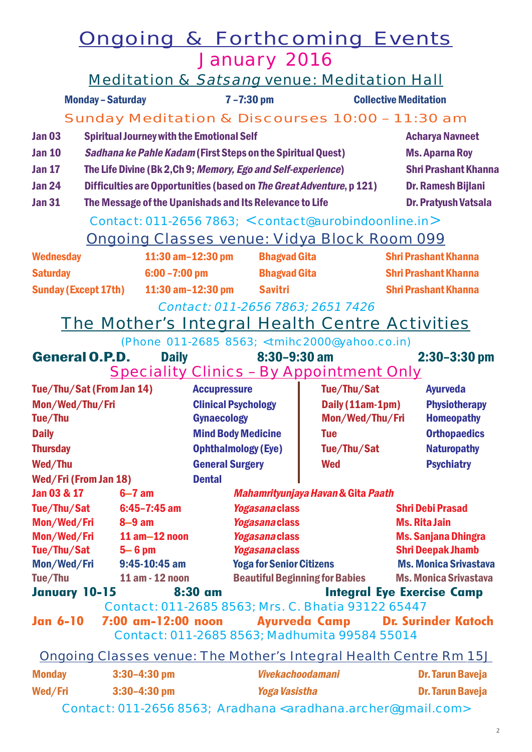## *Ongoing & Forthcoming Events January 2016 Meditation & Satsang venue: Meditation Hall* Monday – Saturday **7 – 7:30 pm** Collective Meditation *Sunday Meditation & Discourses 10:00 – 11:30 am* Jan 03 Spiritual Journey with the Emotional Self Acharya Navneet Acharya Navneet Jan 10 Sadhana ke Pahle Kadam (First Steps on the Spiritual Quest) Ms. Aparna Roy Jan 17 The Life Divine (Bk 2, Ch 9; *Memory, Ego and Self-experience*) Shri Prashant Khanna Jan 24 Difficulties are Opportunities (based on The Great Adventure, p 121) Dr. Ramesh Bijlani Jan 31 The Message of the Upanishads and Its Relevance to Life **Dr. Pratyush Vatsala** *Contact: 011-2656 7863;* **<***contact@aurobindoonline.in***>** *Ongoing Classes venue: Vidya Block Room 099* Wednesday 11:30 am–12:30 pm Bhagvad Gita Shri Prashant Khanna Saturday 6:00 –7:00 pm Bhagvad Gita Shri Prashant Khanna Sunday (Except 17th) 11:30 am–12:30 pm Savitri Shri Prashant Khanna *Contact: 011-2656 7863; 2651 7426 The Mother's Integral Health Centre Activities (Phone 011-2685 8563; <tmihc2000@yahoo.co.in)* General O.P.D. Daily 8:30–9:30 am 2:30–3:30 pm *Speciality Clinics – By Appointment Only* Tue/Thu/Sat (From Jan 14) Accupressure Tue/Thu/Sat Ayurveda Mon/Wed/Thu/Fri Clinical Psychology Daily (11am-1pm) Physiotherapy Tue/Thu **Gynaecology** Gynaecology **Mon/Wed/Thu/Fri** Homeopathy Daily **Mind Body Medicine Tue Contract Orthopaedics Daily Orthopaedics** Thursday Ophthalmology (Eye) Tue/Thu/Sat Naturopathy **Wed/Thu General Surgery | Wed Psychiatry** Wed/Fri (From Jan 18) Dental Jan 03 & 17 6**–**7 am MahamrityunjayaHavan & Gita Paath Tue/Thu/Sat 6:45-7:45 am *Yogasana* class Shri Debi Prasad Mon/Wed/Fri 8-9 am *Yogasana* class Ms. Rita Jain Mon/Wed/Fri 11 am**–**12 noon Yogasana class Ms. Sanjana Dhingra Tue/Thu/Sat 5**–** 6 pm Yogasana class Shri Deepak Jhamb Mon/Wed/Fri 9:45-10:45 am Yoga for Senior Citizens Ms. Monica Srivastava Tue/Thu 11 am - 12 noon Beautiful Beginning for Babies Ms. Monica Srivastava **January 10-15 8:30 am Integral Eye Exercise Camp** *Contact: 011-2685 8563; Mrs. C. Bhatia 93122 65447* **Jan 6-10 7:00 am-12:00 noon Ayurveda Camp Dr. Surinder Katoch** *Contact: 011-2685 8563; Madhumita 99584 55014 Ongoing Classes venue: The Mother's Integral Health Centre Rm 15J* Monday 3:30–4:30 pm Vivekachoodamani Dr. Tarun Baveja Wed/Fri 3:30–4:30 pm Yoga Vasistha Dr. Tarun Baveja *Contact: 011-2656 8563; Aradhana <aradhana.archer@gmail.com>*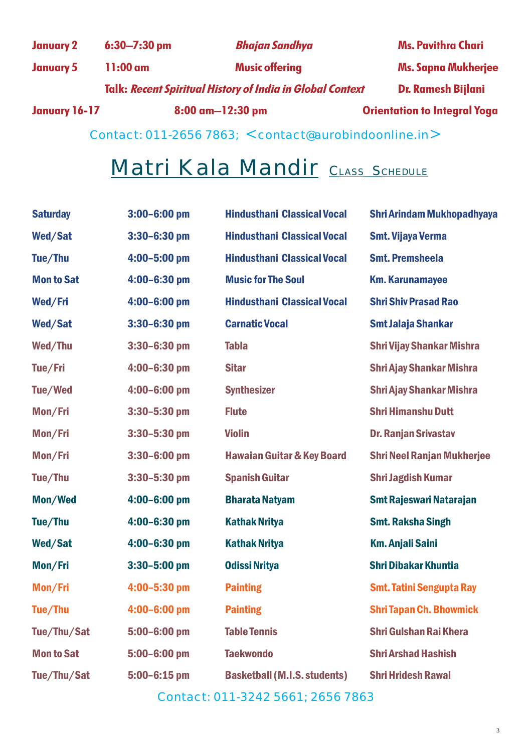| <b>January 2</b>     | $6:30 - 7:30$ pm                                                 | <b>Bhajan Sandhya</b>                                        | <b>Ms. Pavithra Chari</b>  |
|----------------------|------------------------------------------------------------------|--------------------------------------------------------------|----------------------------|
| <b>January 5</b>     | 11:00 am                                                         | <b>Music offering</b>                                        | <b>Ms. Sapna Mukherjee</b> |
|                      | <b>Talk: Recent Spiritual History of India in Global Context</b> |                                                              | <b>Dr. Ramesh Bijlani</b>  |
| <b>January 16-17</b> |                                                                  | <b>Orientation to Integral Yoga</b><br>$8:00$ am $-12:30$ pm |                            |

*Contact: 011-2656 7863;* **<***contact@aurobindoonline.in***>**

## *Matri Kala Mandir CLASS SCHEDULE*

| $3:00 - 6:00$ pm | <b>Hindusthani Classical Vocal</b>    | <b>Shri Arindam Mukhopadhyaya</b> |
|------------------|---------------------------------------|-----------------------------------|
| 3:30-6:30 pm     | <b>Hindusthani Classical Vocal</b>    | <b>Smt. Vijaya Verma</b>          |
| 4:00-5:00 pm     | <b>Hindusthani Classical Vocal</b>    | <b>Smt. Premsheela</b>            |
| $4:00 - 6:30$ pm | <b>Music for The Soul</b>             | <b>Km. Karunamayee</b>            |
| 4:00-6:00 pm     | <b>Hindusthani Classical Vocal</b>    | <b>Shri Shiv Prasad Rao</b>       |
| $3:30 - 6:30$ pm | <b>Carnatic Vocal</b>                 | <b>Smt Jalaja Shankar</b>         |
| $3:30 - 6:30$ pm | <b>Tabla</b>                          | <b>Shri Vijay Shankar Mishra</b>  |
| 4:00-6:30 pm     | <b>Sitar</b>                          | <b>Shri Ajay Shankar Mishra</b>   |
| 4:00-6:00 pm     | <b>Synthesizer</b>                    | <b>Shri Ajay Shankar Mishra</b>   |
| $3:30 - 5:30$ pm | <b>Flute</b>                          | <b>Shri Himanshu Dutt</b>         |
| $3:30 - 5:30$ pm | <b>Violin</b>                         | <b>Dr. Ranjan Srivastav</b>       |
| $3:30-6:00$ pm   | <b>Hawaian Guitar &amp; Key Board</b> | <b>Shri Neel Ranjan Mukherjee</b> |
| $3:30 - 5:30$ pm | <b>Spanish Guitar</b>                 | <b>Shri Jagdish Kumar</b>         |
| 4:00-6:00 pm     | <b>Bharata Natyam</b>                 | <b>Smt Rajeswari Natarajan</b>    |
| $4:00 - 6:30$ pm | <b>Kathak Nritya</b>                  | <b>Smt. Raksha Singh</b>          |
| $4:00 - 6:30$ pm | <b>Kathak Nritya</b>                  | <b>Km. Anjali Saini</b>           |
| $3:30 - 5:00$ pm | <b>Odissi Nritya</b>                  | <b>Shri Dibakar Khuntia</b>       |
| 4:00-5:30 pm     | <b>Painting</b>                       | <b>Smt. Tatini Sengupta Ray</b>   |
| $4:00 - 6:00$ pm | <b>Painting</b>                       | <b>Shri Tapan Ch. Bhowmick</b>    |
| $5:00 - 6:00$ pm | <b>Table Tennis</b>                   | <b>Shri Gulshan Rai Khera</b>     |
| $5:00 - 6:00$ pm | <b>Taekwondo</b>                      | <b>Shri Arshad Hashish</b>        |
| $5:00 - 6:15$ pm | <b>Basketball (M.I.S. students)</b>   | <b>Shri Hridesh Rawal</b>         |
|                  |                                       |                                   |

*Contact: 011-3242 5661; 2656 7863*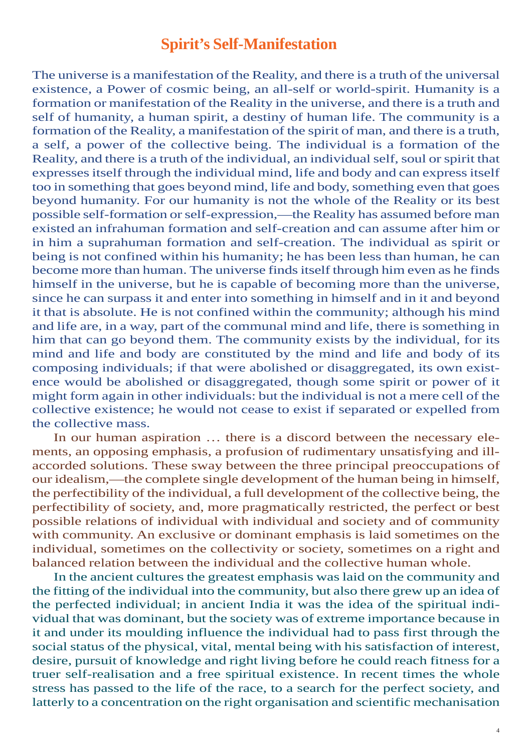### **Spirit's Self-Manifestation**

The universe is a manifestation of the Reality, and there is a truth of the universal existence, a Power of cosmic being, an all-self or world-spirit. Humanity is a formation or manifestation of the Reality in the universe, and there is a truth and self of humanity, a human spirit, a destiny of human life. The community is a formation of the Reality, a manifestation of the spirit of man, and there is a truth, a self, a power of the collective being. The individual is a formation of the Reality, and there is a truth of the individual, an individual self, soul or spirit that expresses itself through the individual mind, life and body and can express itself too in something that goes beyond mind, life and body, something even that goes beyond humanity. For our humanity is not the whole of the Reality or its best possible self-formation or self-expression,—the Reality has assumed before man existed an infrahuman formation and self-creation and can assume after him or in him a suprahuman formation and self-creation. The individual as spirit or being is not confined within his humanity; he has been less than human, he can become more than human. The universe finds itself through him even as he finds himself in the universe, but he is capable of becoming more than the universe, since he can surpass it and enter into something in himself and in it and beyond it that is absolute. He is not confined within the community; although his mind and life are, in a way, part of the communal mind and life, there is something in him that can go beyond them. The community exists by the individual, for its mind and life and body are constituted by the mind and life and body of its composing individuals; if that were abolished or disaggregated, its own existence would be abolished or disaggregated, though some spirit or power of it might form again in other individuals: but the individual is not a mere cell of the collective existence; he would not cease to exist if separated or expelled from the collective mass.

In our human aspiration … there is a discord between the necessary elements, an opposing emphasis, a profusion of rudimentary unsatisfying and illaccorded solutions. These sway between the three principal preoccupations of our idealism,—the complete single development of the human being in himself, the perfectibility of the individual, a full development of the collective being, the perfectibility of society, and, more pragmatically restricted, the perfect or best possible relations of individual with individual and society and of community with community. An exclusive or dominant emphasis is laid sometimes on the individual, sometimes on the collectivity or society, sometimes on a right and balanced relation between the individual and the collective human whole.

In the ancient cultures the greatest emphasis was laid on the community and the fitting of the individual into the community, but also there grew up an idea of the perfected individual; in ancient India it was the idea of the spiritual individual that was dominant, but the society was of extreme importance because in it and under its moulding influence the individual had to pass first through the social status of the physical, vital, mental being with his satisfaction of interest, desire, pursuit of knowledge and right living before he could reach fitness for a truer self-realisation and a free spiritual existence. In recent times the whole stress has passed to the life of the race, to a search for the perfect society, and latterly to a concentration on the right organisation and scientific mechanisation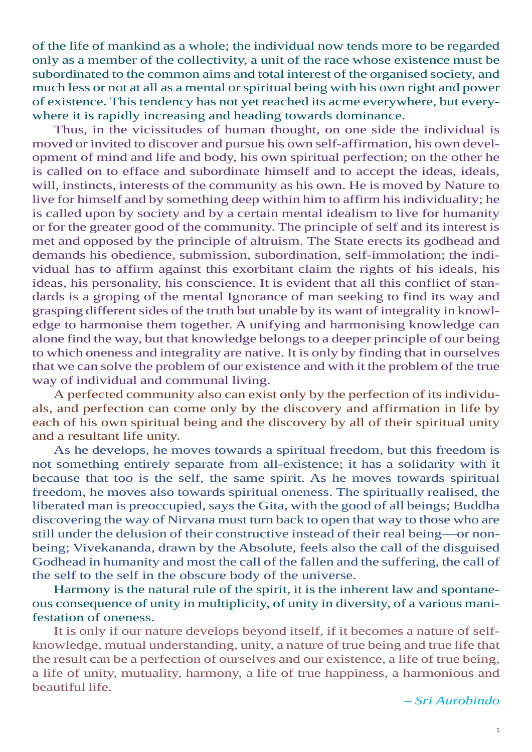of the life of mankind as a whole; the individual now tends more to be regarded only as a member of the collectivity, a unit of the race whose existence must be subordinated to the common aims and total interest of the organised society, and much less or not at all as a mental or spiritual being with his own right and power of existence. This tendency has not yet reached its acme everywhere, but everywhere it is rapidly increasing and heading towards dominance.

Thus, in the vicissitudes of human thought, on one side the individual is moved or invited to discover and pursue his own self-affirmation, his own development of mind and life and body, his own spiritual perfection; on the other he is called on to efface and subordinate himself and to accept the ideas, ideals, will, instincts, interests of the community as his own. He is moved by Nature to live for himself and by something deep within him to affirm his individuality; he is called upon by society and by a certain mental idealism to live for humanity or for the greater good of the community. The principle of self and its interest is met and opposed by the principle of altruism. The State erects its godhead and demands his obedience, submission, subordination, self-immolation; the individual has to affirm against this exorbitant claim the rights of his ideals, his ideas, his personality, his conscience. It is evident that all this conflict of standards is a groping of the mental Ignorance of man seeking to find its way and grasping different sides of the truth but unable by its want of integrality in knowledge to harmonise them together. A unifying and harmonising knowledge can alone find the way, but that knowledge belongs to a deeper principle of our being to which oneness and integrality are native. It is only by finding that in ourselves that we can solve the problem of our existence and with it the problem of the true way of individual and communal living.

A perfected community also can exist only by the perfection of its individuals, and perfection can come only by the discovery and affirmation in life by each of his own spiritual being and the discovery by all of their spiritual unity and a resultant life unity.

As he develops, he moves towards a spiritual freedom, but this freedom is not something entirely separate from all-existence; it has a solidarity with it because that too is the self, the same spirit. As he moves towards spiritual freedom, he moves also towards spiritual oneness. The spiritually realised, the liberated man is preoccupied, says the Gita, with the good of all beings; Buddha discovering the way of Nirvana must turn back to open that way to those who are still under the delusion of their constructive instead of their real being—or nonbeing; Vivekananda, drawn by the Absolute, feels also the call of the disguised Godhead in humanity and most the call of the fallen and the suffering, the call of the self to the self in the obscure body of the universe.

Harmony is the natural rule of the spirit, it is the inherent law and spontaneous consequence of unity in multiplicity, of unity in diversity, of a various manifestation of oneness.

It is only if our nature develops beyond itself, if it becomes a nature of selfknowledge, mutual understanding, unity, a nature of true being and true life that the result can be a perfection of ourselves and our existence, a life of true being, a life of unity, mutuality, harmony, a life of true happiness, a harmonious and beautiful life.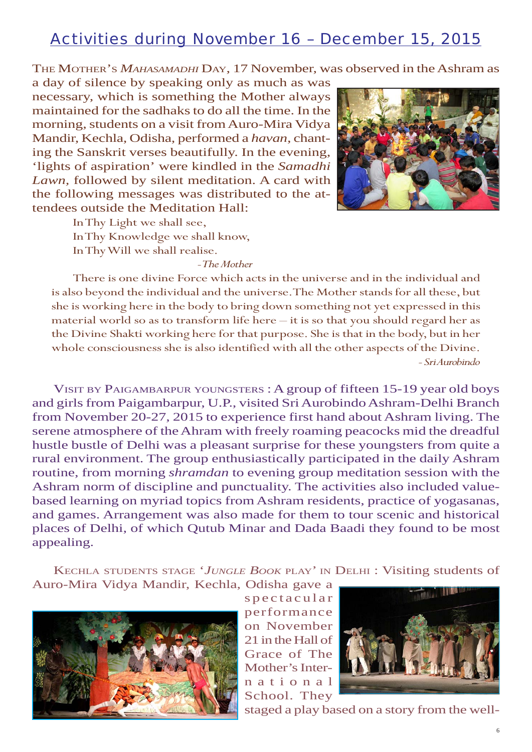## *Activities during November 16 – December 15, 2015*

#### THE MOTHER'S *MAHASAMADHI* DAY, 17 November, was observed in the Ashram as

a day of silence by speaking only as much as was necessary, which is something the Mother always maintained for the sadhaks to do all the time. In the morning, students on a visit from Auro-Mira Vidya Mandir, Kechla, Odisha, performed a *havan*, chanting the Sanskrit verses beautifully. In the evening, 'lights of aspiration' were kindled in the *Samadhi Lawn,* followed by silent meditation. A card with the following messages was distributed to the attendees outside the Meditation Hall:

> In Thy Light we shall see, In Thy Knowledge we shall know, In Thy Will we shall realise.

#### *- The Mother*

There is one divine Force which acts in the universe and in the individual and is also beyond the individual and the universe. The Mother stands for all these, but she is working here in the body to bring down something not yet expressed in this material world so as to transform life here – it is so that you should regard her as the Divine Shakti working here for that purpose. She is that in the body, but in her whole consciousness she is also identified with all the other aspects of the Divine. *- Sri Aurobindo*

VISIT BY PAIGAMBARPUR YOUNGSTERS : A group of fifteen 15-19 year old boys and girls from Paigambarpur, U.P., visited Sri Aurobindo Ashram-Delhi Branch from November 20-27, 2015 to experience first hand about Ashram living. The serene atmosphere of the Ahram with freely roaming peacocks mid the dreadful hustle bustle of Delhi was a pleasant surprise for these youngsters from quite a rural environment. The group enthusiastically participated in the daily Ashram routine, from morning *shramdan* to evening group meditation session with the Ashram norm of discipline and punctuality. The activities also included valuebased learning on myriad topics from Ashram residents, practice of yogasanas, and games. Arrangement was also made for them to tour scenic and historical places of Delhi, of which Qutub Minar and Dada Baadi they found to be most appealing.

KECHLA STUDENTS STAGE '*JUNGLE BOOK* PLAY' IN DELHI : Visiting students of Auro-Mira Vidya Mandir, Kechla, Odisha gave a



spectacular performance on November 21 in the Hall of Grace of The Mother's International School. They



staged a play based on a story from the well-

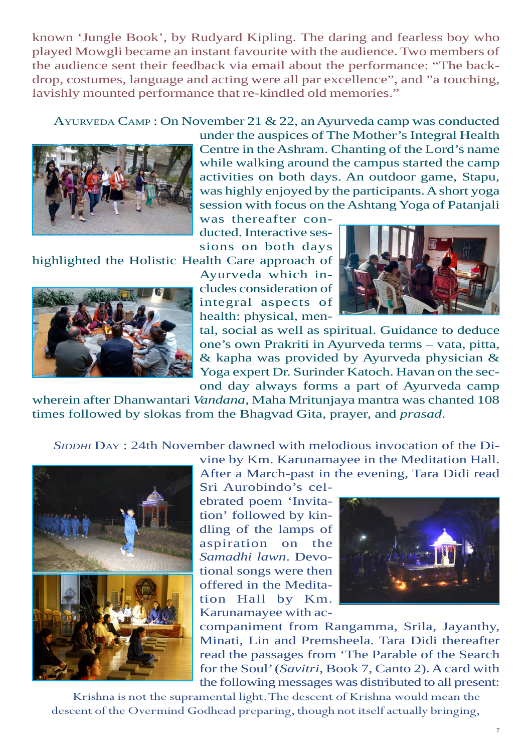known 'Jungle Book', by Rudyard Kipling. The daring and fearless boy who played Mowgli became an instant favourite with the audience. Two members of the audience sent their feedback via email about the performance: "The backdrop, costumes, language and acting were all par excellence", and "a touching, lavishly mounted performance that re-kindled old memories."

AYURVEDA CAMP : On November 21 & 22, an Ayurveda camp was conducted



under the auspices of The Mother's Integral Health Centre in the Ashram. Chanting of the Lord's name while walking around the campus started the camp activities on both days. An outdoor game, Stapu, was highly enjoyed by the participants. A short yoga session with focus on the Ashtang Yoga of Patanjali

was thereafter conducted. Interactive sessions on both days

highlighted the Holistic Health Care approach of



Ayurveda which includes consideration of integral aspects of health: physical, men-



tal, social as well as spiritual. Guidance to deduce one's own Prakriti in Ayurveda terms – vata, pitta, & kapha was provided by Ayurveda physician & Yoga expert Dr. Surinder Katoch. Havan on the second day always forms a part of Ayurveda camp

wherein after Dhanwantari *Vandana*, Maha Mritunjaya mantra was chanted 108 times followed by slokas from the Bhagvad Gita, prayer, and *prasad*.

*SIDDHI* DAY : 24th November dawned with melodious invocation of the Di-



vine by Km. Karunamayee in the Meditation Hall. After a March-past in the evening, Tara Didi read

Sri Aurobindo's celebrated poem 'Invitation' followed by kindling of the lamps of aspiration on the *Samadhi lawn*. Devotional songs were then offered in the Meditation Hall by Km. Karunamayee with ac-



companiment from Rangamma, Srila, Jayanthy, Minati, Lin and Premsheela. Tara Didi thereafter read the passages from 'The Parable of the Search for the Soul' (*Savitri*, Book 7, Canto 2). A card with the following messages was distributed to all present:

Krishna is not the supramental light. The descent of Krishna would mean the descent of the Overmind Godhead preparing, though not itself actually bringing,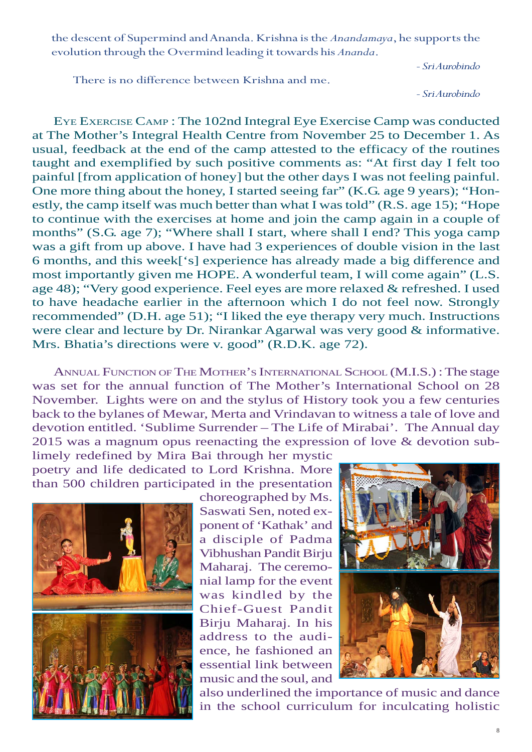the descent of Supermind and Ananda. Krishna is the *Anandamaya*, he supports the evolution through the Overmind leading it towards his *Ananda*.

- *Sri Aurobindo*

There is no difference between Krishna and me.

- *Sri Aurobindo*

EYE EXERCISE CAMP : The 102nd Integral Eye Exercise Camp was conducted at The Mother's Integral Health Centre from November 25 to December 1. As usual, feedback at the end of the camp attested to the efficacy of the routines taught and exemplified by such positive comments as: "At first day I felt too painful [from application of honey] but the other days I was not feeling painful. One more thing about the honey, I started seeing far" (K.G. age 9 years); "Honestly, the camp itself was much better than what I was told" (R.S. age 15); "Hope to continue with the exercises at home and join the camp again in a couple of months" (S.G. age 7); "Where shall I start, where shall I end? This yoga camp was a gift from up above. I have had 3 experiences of double vision in the last 6 months, and this week['s] experience has already made a big difference and most importantly given me HOPE. A wonderful team, I will come again" (L.S. age 48); "Very good experience. Feel eyes are more relaxed & refreshed. I used to have headache earlier in the afternoon which I do not feel now. Strongly recommended" (D.H. age 51); "I liked the eye therapy very much. Instructions were clear and lecture by Dr. Nirankar Agarwal was very good & informative. Mrs. Bhatia's directions were v. good" (R.D.K. age 72).

ANNUAL FUNCTION OF THE MOTHER'S INTERNATIONAL SCHOOL (M.I.S.) : The stage was set for the annual function of The Mother's International School on 28 November. Lights were on and the stylus of History took you a few centuries back to the bylanes of Mewar, Merta and Vrindavan to witness a tale of love and devotion entitled. 'Sublime Surrender – The Life of Mirabai'. The Annual day 2015 was a magnum opus reenacting the expression of love & devotion sub-

limely redefined by Mira Bai through her mystic poetry and life dedicated to Lord Krishna. More than 500 children participated in the presentation



choreographed by Ms. Saswati Sen, noted exponent of 'Kathak' and a disciple of Padma Vibhushan Pandit Birju Maharaj. The ceremonial lamp for the event was kindled by the Chief-Guest Pandit Birju Maharaj. In his address to the audience, he fashioned an essential link between music and the soul, and

also underlined the importance of music and dance in the school curriculum for inculcating holistic

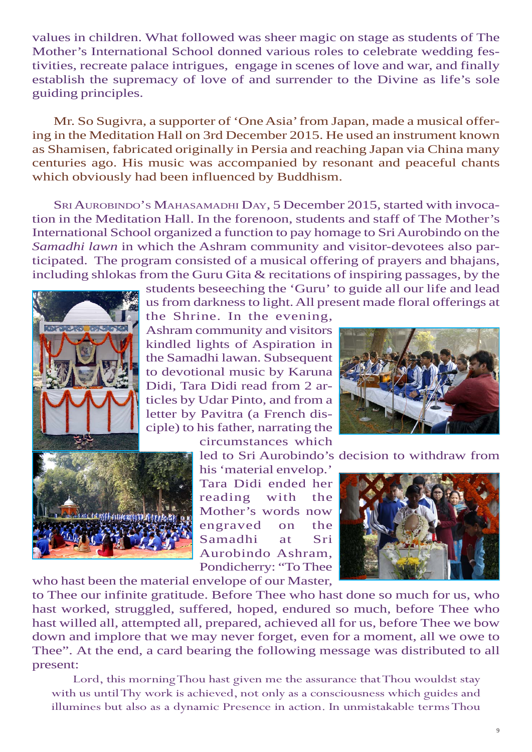values in children. What followed was sheer magic on stage as students of The Mother's International School donned various roles to celebrate wedding festivities, recreate palace intrigues, engage in scenes of love and war, and finally establish the supremacy of love of and surrender to the Divine as life's sole guiding principles.

Mr. So Sugivra, a supporter of 'One Asia' from Japan, made a musical offering in the Meditation Hall on 3rd December 2015. He used an instrument known as Shamisen, fabricated originally in Persia and reaching Japan via China many centuries ago. His music was accompanied by resonant and peaceful chants which obviously had been influenced by Buddhism.

SRI AUROBINDO'S MAHASAMADHI DAY, 5 December 2015, started with invocation in the Meditation Hall. In the forenoon, students and staff of The Mother's International School organized a function to pay homage to Sri Aurobindo on the *Samadhi lawn* in which the Ashram community and visitor-devotees also participated. The program consisted of a musical offering of prayers and bhajans, including shlokas from the Guru Gita & recitations of inspiring passages, by the



students beseeching the 'Guru' to guide all our life and lead us from darkness to light. All present made floral offerings at

the Shrine. In the evening, Ashram community and visitors kindled lights of Aspiration in the Samadhi lawan. Subsequent to devotional music by Karuna Didi, Tara Didi read from 2 articles by Udar Pinto, and from a letter by Pavitra (a French disciple) to his father, narrating the

circumstances which

his 'material envelop.' Tara Didi ended her reading with the Mother's words now engraved on the Samadhi at Sri Aurobindo Ashram, Pondicherry: "To Thee who hast been the material envelope of our Master,



led to Sri Aurobindo's decision to withdraw from



to Thee our infinite gratitude. Before Thee who hast done so much for us, who hast worked, struggled, suffered, hoped, endured so much, before Thee who hast willed all, attempted all, prepared, achieved all for us, before Thee we bow down and implore that we may never forget, even for a moment, all we owe to Thee". At the end, a card bearing the following message was distributed to all present:

Lord, this morning Thou hast given me the assurance that Thou wouldst stay with us until Thy work is achieved, not only as a consciousness which guides and illumines but also as a dynamic Presence in action. In unmistakable terms Thou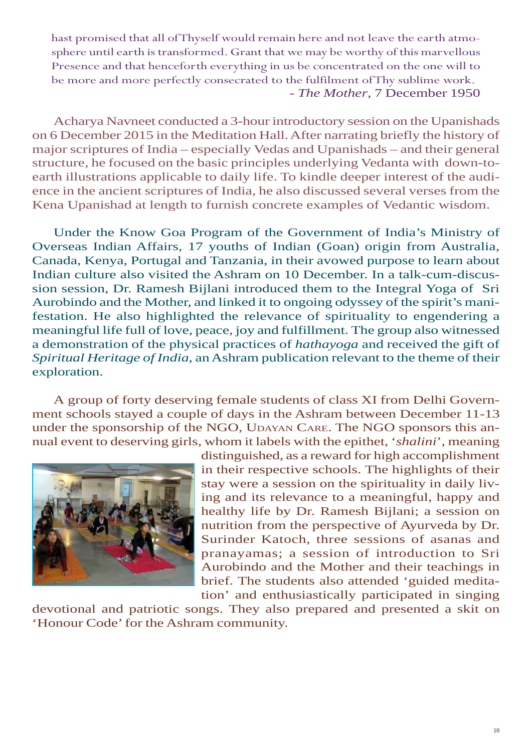hast promised that all of Thyself would remain here and not leave the earth atmosphere until earth is transformed. Grant that we may be worthy of this marvellous Presence and that henceforth everything in us be concentrated on the one will to be more and more perfectly consecrated to the fulfilment of Thy sublime work. - *The Mother*, 7 December 1950

Acharya Navneet conducted a 3-hour introductory session on the Upanishads on 6 December 2015 in the Meditation Hall. After narrating briefly the history of major scriptures of India – especially Vedas and Upanishads – and their general structure, he focused on the basic principles underlying Vedanta with down-toearth illustrations applicable to daily life. To kindle deeper interest of the audience in the ancient scriptures of India, he also discussed several verses from the Kena Upanishad at length to furnish concrete examples of Vedantic wisdom.

Under the Know Goa Program of the Government of India's Ministry of Overseas Indian Affairs, 17 youths of Indian (Goan) origin from Australia, Canada, Kenya, Portugal and Tanzania, in their avowed purpose to learn about Indian culture also visited the Ashram on 10 December. In a talk-cum-discussion session, Dr. Ramesh Bijlani introduced them to the Integral Yoga of Sri Aurobindo and the Mother, and linked it to ongoing odyssey of the spirit's manifestation. He also highlighted the relevance of spirituality to engendering a meaningful life full of love, peace, joy and fulfillment. The group also witnessed a demonstration of the physical practices of *hathayoga* and received the gift of *Spiritual Heritage of India*, an Ashram publication relevant to the theme of their exploration.

A group of forty deserving female students of class XI from Delhi Government schools stayed a couple of days in the Ashram between December 11-13 under the sponsorship of the NGO, UDAYAN CARE. The NGO sponsors this annual event to deserving girls, whom it labels with the epithet, '*shalini*', meaning



distinguished, as a reward for high accomplishment in their respective schools. The highlights of their stay were a session on the spirituality in daily living and its relevance to a meaningful, happy and healthy life by Dr. Ramesh Bijlani; a session on nutrition from the perspective of Ayurveda by Dr. Surinder Katoch, three sessions of asanas and pranayamas; a session of introduction to Sri Aurobindo and the Mother and their teachings in brief. The students also attended 'guided meditation' and enthusiastically participated in singing

devotional and patriotic songs. They also prepared and presented a skit on 'Honour Code' for the Ashram community.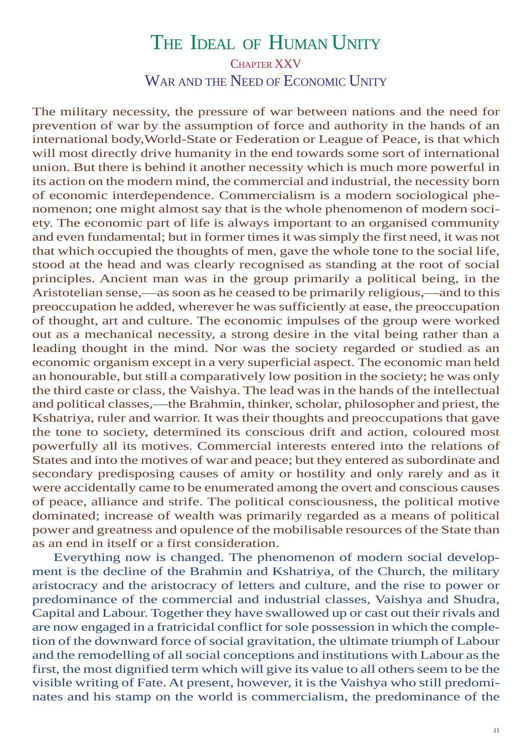## THE IDEAL OF HUMAN UNITY CHAPTER XXV WAR AND THE NEED OF ECONOMIC UNITY

The military necessity, the pressure of war between nations and the need for prevention of war by the assumption of force and authority in the hands of an international body,World-State or Federation or League of Peace, is that which will most directly drive humanity in the end towards some sort of international union. But there is behind it another necessity which is much more powerful in its action on the modern mind, the commercial and industrial, the necessity born of economic interdependence. Commercialism is a modern sociological phenomenon; one might almost say that is the whole phenomenon of modern society. The economic part of life is always important to an organised community and even fundamental; but in former times it was simply the first need, it was not that which occupied the thoughts of men, gave the whole tone to the social life, stood at the head and was clearly recognised as standing at the root of social principles. Ancient man was in the group primarily a political being, in the Aristotelian sense,—as soon as he ceased to be primarily religious,—and to this preoccupation he added, wherever he was sufficiently at ease, the preoccupation of thought, art and culture. The economic impulses of the group were worked out as a mechanical necessity, a strong desire in the vital being rather than a leading thought in the mind. Nor was the society regarded or studied as an economic organism except in a very superficial aspect. The economic man held an honourable, but still a comparatively low position in the society; he was only the third caste or class, the Vaishya. The lead was in the hands of the intellectual and political classes,—the Brahmin, thinker, scholar, philosopher and priest, the Kshatriya, ruler and warrior. It was their thoughts and preoccupations that gave the tone to society, determined its conscious drift and action, coloured most powerfully all its motives. Commercial interests entered into the relations of States and into the motives of war and peace; but they entered as subordinate and secondary predisposing causes of amity or hostility and only rarely and as it were accidentally came to be enumerated among the overt and conscious causes of peace, alliance and strife. The political consciousness, the political motive dominated; increase of wealth was primarily regarded as a means of political power and greatness and opulence of the mobilisable resources of the State than as an end in itself or a first consideration.

Everything now is changed. The phenomenon of modern social development is the decline of the Brahmin and Kshatriya, of the Church, the military aristocracy and the aristocracy of letters and culture, and the rise to power or predominance of the commercial and industrial classes, Vaishya and Shudra, Capital and Labour. Together they have swallowed up or cast out their rivals and are now engaged in a fratricidal conflict for sole possession in which the completion of the downward force of social gravitation, the ultimate triumph of Labour and the remodelling of all social conceptions and institutions with Labour as the first, the most dignified term which will give its value to all others seem to be the visible writing of Fate. At present, however, it is the Vaishya who still predominates and his stamp on the world is commercialism, the predominance of the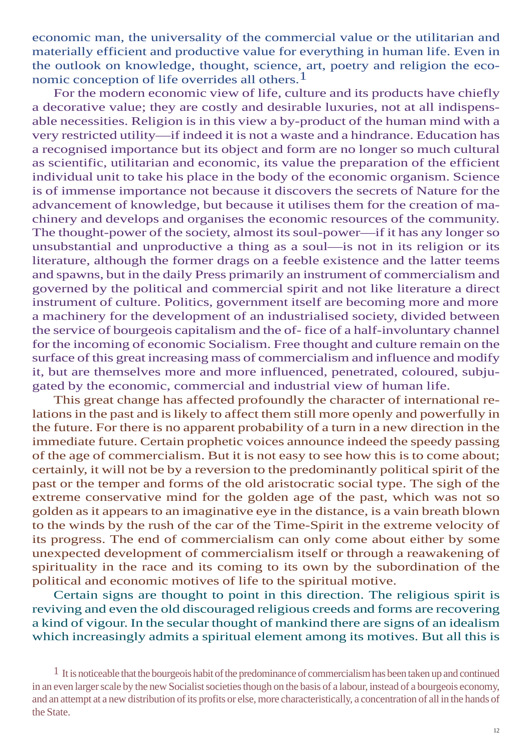economic man, the universality of the commercial value or the utilitarian and materially efficient and productive value for everything in human life. Even in the outlook on knowledge, thought, science, art, poetry and religion the economic conception of life overrides all others.<sup>1</sup>

For the modern economic view of life, culture and its products have chiefly a decorative value; they are costly and desirable luxuries, not at all indispensable necessities. Religion is in this view a by-product of the human mind with a very restricted utility—if indeed it is not a waste and a hindrance. Education has a recognised importance but its object and form are no longer so much cultural as scientific, utilitarian and economic, its value the preparation of the efficient individual unit to take his place in the body of the economic organism. Science is of immense importance not because it discovers the secrets of Nature for the advancement of knowledge, but because it utilises them for the creation of machinery and develops and organises the economic resources of the community. The thought-power of the society, almost its soul-power—if it has any longer so unsubstantial and unproductive a thing as a soul—is not in its religion or its literature, although the former drags on a feeble existence and the latter teems and spawns, but in the daily Press primarily an instrument of commercialism and governed by the political and commercial spirit and not like literature a direct instrument of culture. Politics, government itself are becoming more and more a machinery for the development of an industrialised society, divided between the service of bourgeois capitalism and the of- fice of a half-involuntary channel for the incoming of economic Socialism. Free thought and culture remain on the surface of this great increasing mass of commercialism and influence and modify it, but are themselves more and more influenced, penetrated, coloured, subjugated by the economic, commercial and industrial view of human life.

This great change has affected profoundly the character of international relations in the past and is likely to affect them still more openly and powerfully in the future. For there is no apparent probability of a turn in a new direction in the immediate future. Certain prophetic voices announce indeed the speedy passing of the age of commercialism. But it is not easy to see how this is to come about; certainly, it will not be by a reversion to the predominantly political spirit of the past or the temper and forms of the old aristocratic social type. The sigh of the extreme conservative mind for the golden age of the past, which was not so golden as it appears to an imaginative eye in the distance, is a vain breath blown to the winds by the rush of the car of the Time-Spirit in the extreme velocity of its progress. The end of commercialism can only come about either by some unexpected development of commercialism itself or through a reawakening of spirituality in the race and its coming to its own by the subordination of the political and economic motives of life to the spiritual motive.

Certain signs are thought to point in this direction. The religious spirit is reviving and even the old discouraged religious creeds and forms are recovering a kind of vigour. In the secular thought of mankind there are signs of an idealism which increasingly admits a spiritual element among its motives. But all this is

 $<sup>1</sup>$  It is noticeable that the bourgeois habit of the predominance of commercialism has been taken up and continued</sup> in an even larger scale by the new Socialist societies though on the basis of a labour, instead of a bourgeois economy, and an attempt at a new distribution of its profits or else, more characteristically, a concentration of all in the hands of the State.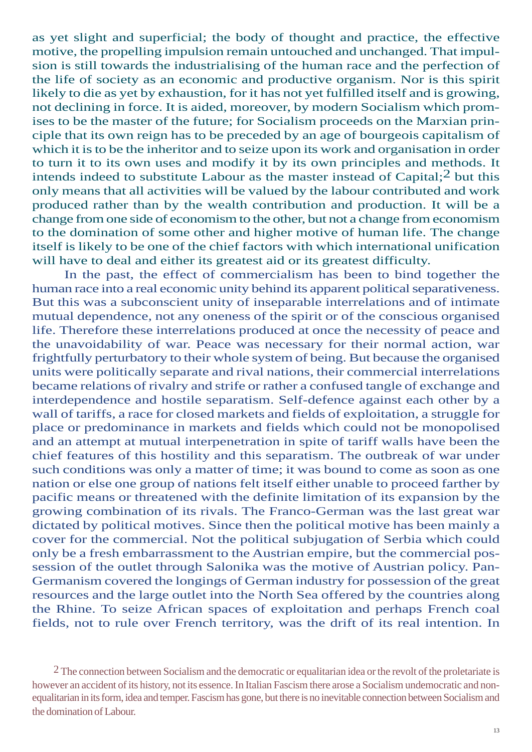as yet slight and superficial; the body of thought and practice, the effective motive, the propelling impulsion remain untouched and unchanged. That impulsion is still towards the industrialising of the human race and the perfection of the life of society as an economic and productive organism. Nor is this spirit likely to die as yet by exhaustion, for it has not yet fulfilled itself and is growing, not declining in force. It is aided, moreover, by modern Socialism which promises to be the master of the future; for Socialism proceeds on the Marxian principle that its own reign has to be preceded by an age of bourgeois capitalism of which it is to be the inheritor and to seize upon its work and organisation in order to turn it to its own uses and modify it by its own principles and methods. It intends indeed to substitute Labour as the master instead of Capital;2 but this only means that all activities will be valued by the labour contributed and work produced rather than by the wealth contribution and production. It will be a change from one side of economism to the other, but not a change from economism to the domination of some other and higher motive of human life. The change itself is likely to be one of the chief factors with which international unification will have to deal and either its greatest aid or its greatest difficulty.

In the past, the effect of commercialism has been to bind together the human race into a real economic unity behind its apparent political separativeness. But this was a subconscient unity of inseparable interrelations and of intimate mutual dependence, not any oneness of the spirit or of the conscious organised life. Therefore these interrelations produced at once the necessity of peace and the unavoidability of war. Peace was necessary for their normal action, war frightfully perturbatory to their whole system of being. But because the organised units were politically separate and rival nations, their commercial interrelations became relations of rivalry and strife or rather a confused tangle of exchange and interdependence and hostile separatism. Self-defence against each other by a wall of tariffs, a race for closed markets and fields of exploitation, a struggle for place or predominance in markets and fields which could not be monopolised and an attempt at mutual interpenetration in spite of tariff walls have been the chief features of this hostility and this separatism. The outbreak of war under such conditions was only a matter of time; it was bound to come as soon as one nation or else one group of nations felt itself either unable to proceed farther by pacific means or threatened with the definite limitation of its expansion by the growing combination of its rivals. The Franco-German was the last great war dictated by political motives. Since then the political motive has been mainly a cover for the commercial. Not the political subjugation of Serbia which could only be a fresh embarrassment to the Austrian empire, but the commercial possession of the outlet through Salonika was the motive of Austrian policy. Pan-Germanism covered the longings of German industry for possession of the great resources and the large outlet into the North Sea offered by the countries along the Rhine. To seize African spaces of exploitation and perhaps French coal fields, not to rule over French territory, was the drift of its real intention. In

<sup>&</sup>lt;sup>2</sup> The connection between Socialism and the democratic or equalitarian idea or the revolt of the proletariate is however an accident of its history, not its essence. In Italian Fascism there arose a Socialism undemocratic and nonequalitarian in its form, idea and temper. Fascism has gone, but there is no inevitable connection between Socialism and the domination of Labour.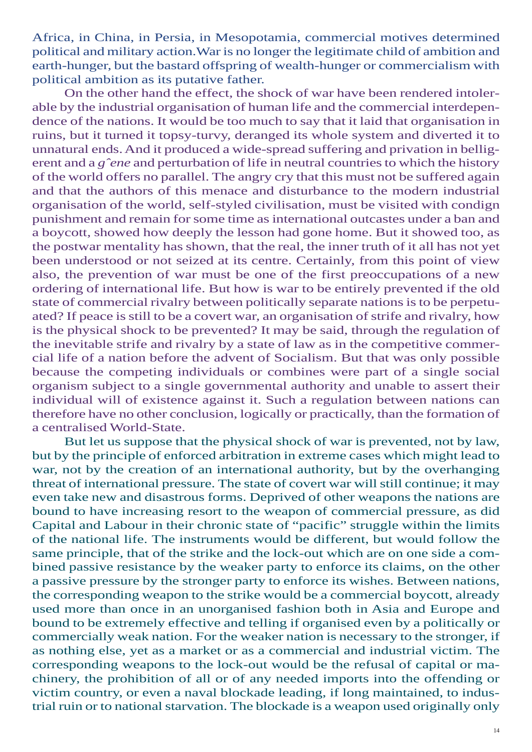Africa, in China, in Persia, in Mesopotamia, commercial motives determined political and military action.War is no longer the legitimate child of ambition and earth-hunger, but the bastard offspring of wealth-hunger or commercialism with political ambition as its putative father.

On the other hand the effect, the shock of war have been rendered intolerable by the industrial organisation of human life and the commercial interdependence of the nations. It would be too much to say that it laid that organisation in ruins, but it turned it topsy-turvy, deranged its whole system and diverted it to unnatural ends. And it produced a wide-spread suffering and privation in belligerent and a *gˆene* and perturbation of life in neutral countries to which the history of the world offers no parallel. The angry cry that this must not be suffered again and that the authors of this menace and disturbance to the modern industrial organisation of the world, self-styled civilisation, must be visited with condign punishment and remain for some time as international outcastes under a ban and a boycott, showed how deeply the lesson had gone home. But it showed too, as the postwar mentality has shown, that the real, the inner truth of it all has not yet been understood or not seized at its centre. Certainly, from this point of view also, the prevention of war must be one of the first preoccupations of a new ordering of international life. But how is war to be entirely prevented if the old state of commercial rivalry between politically separate nations is to be perpetuated? If peace is still to be a covert war, an organisation of strife and rivalry, how is the physical shock to be prevented? It may be said, through the regulation of the inevitable strife and rivalry by a state of law as in the competitive commercial life of a nation before the advent of Socialism. But that was only possible because the competing individuals or combines were part of a single social organism subject to a single governmental authority and unable to assert their individual will of existence against it. Such a regulation between nations can therefore have no other conclusion, logically or practically, than the formation of a centralised World-State.

But let us suppose that the physical shock of war is prevented, not by law, but by the principle of enforced arbitration in extreme cases which might lead to war, not by the creation of an international authority, but by the overhanging threat of international pressure. The state of covert war will still continue; it may even take new and disastrous forms. Deprived of other weapons the nations are bound to have increasing resort to the weapon of commercial pressure, as did Capital and Labour in their chronic state of "pacific" struggle within the limits of the national life. The instruments would be different, but would follow the same principle, that of the strike and the lock-out which are on one side a combined passive resistance by the weaker party to enforce its claims, on the other a passive pressure by the stronger party to enforce its wishes. Between nations, the corresponding weapon to the strike would be a commercial boycott, already used more than once in an unorganised fashion both in Asia and Europe and bound to be extremely effective and telling if organised even by a politically or commercially weak nation. For the weaker nation is necessary to the stronger, if as nothing else, yet as a market or as a commercial and industrial victim. The corresponding weapons to the lock-out would be the refusal of capital or machinery, the prohibition of all or of any needed imports into the offending or victim country, or even a naval blockade leading, if long maintained, to industrial ruin or to national starvation. The blockade is a weapon used originally only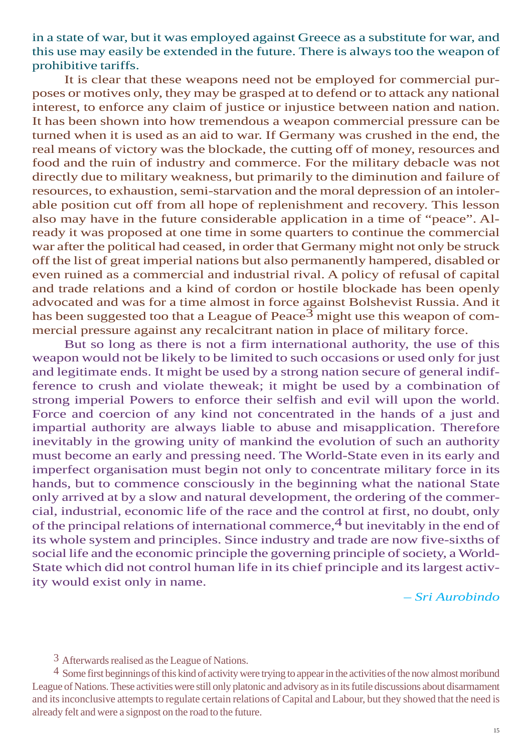in a state of war, but it was employed against Greece as a substitute for war, and this use may easily be extended in the future. There is always too the weapon of prohibitive tariffs.

It is clear that these weapons need not be employed for commercial purposes or motives only, they may be grasped at to defend or to attack any national interest, to enforce any claim of justice or injustice between nation and nation. It has been shown into how tremendous a weapon commercial pressure can be turned when it is used as an aid to war. If Germany was crushed in the end, the real means of victory was the blockade, the cutting off of money, resources and food and the ruin of industry and commerce. For the military debacle was not directly due to military weakness, but primarily to the diminution and failure of resources, to exhaustion, semi-starvation and the moral depression of an intolerable position cut off from all hope of replenishment and recovery. This lesson also may have in the future considerable application in a time of "peace". Already it was proposed at one time in some quarters to continue the commercial war after the political had ceased, in order that Germany might not only be struck off the list of great imperial nations but also permanently hampered, disabled or even ruined as a commercial and industrial rival. A policy of refusal of capital and trade relations and a kind of cordon or hostile blockade has been openly advocated and was for a time almost in force against Bolshevist Russia. And it has been suggested too that a League of Peace<sup>3</sup> might use this weapon of commercial pressure against any recalcitrant nation in place of military force.

But so long as there is not a firm international authority, the use of this weapon would not be likely to be limited to such occasions or used only for just and legitimate ends. It might be used by a strong nation secure of general indifference to crush and violate theweak; it might be used by a combination of strong imperial Powers to enforce their selfish and evil will upon the world. Force and coercion of any kind not concentrated in the hands of a just and impartial authority are always liable to abuse and misapplication. Therefore inevitably in the growing unity of mankind the evolution of such an authority must become an early and pressing need. The World-State even in its early and imperfect organisation must begin not only to concentrate military force in its hands, but to commence consciously in the beginning what the national State only arrived at by a slow and natural development, the ordering of the commercial, industrial, economic life of the race and the control at first, no doubt, only of the principal relations of international commerce,  $\frac{4}{3}$  but inevitably in the end of its whole system and principles. Since industry and trade are now five-sixths of social life and the economic principle the governing principle of society, a World-State which did not control human life in its chief principle and its largest activity would exist only in name.

– *Sri Aurobindo*

#### 3 Afterwards realised as the League of Nations.

4 Some first beginnings of this kind of activity were trying to appear in the activities of the now almost moribund League of Nations. These activities were still only platonic and advisory as in its futile discussions about disarmament and its inconclusive attempts to regulate certain relations of Capital and Labour, but they showed that the need is already felt and were a signpost on the road to the future.